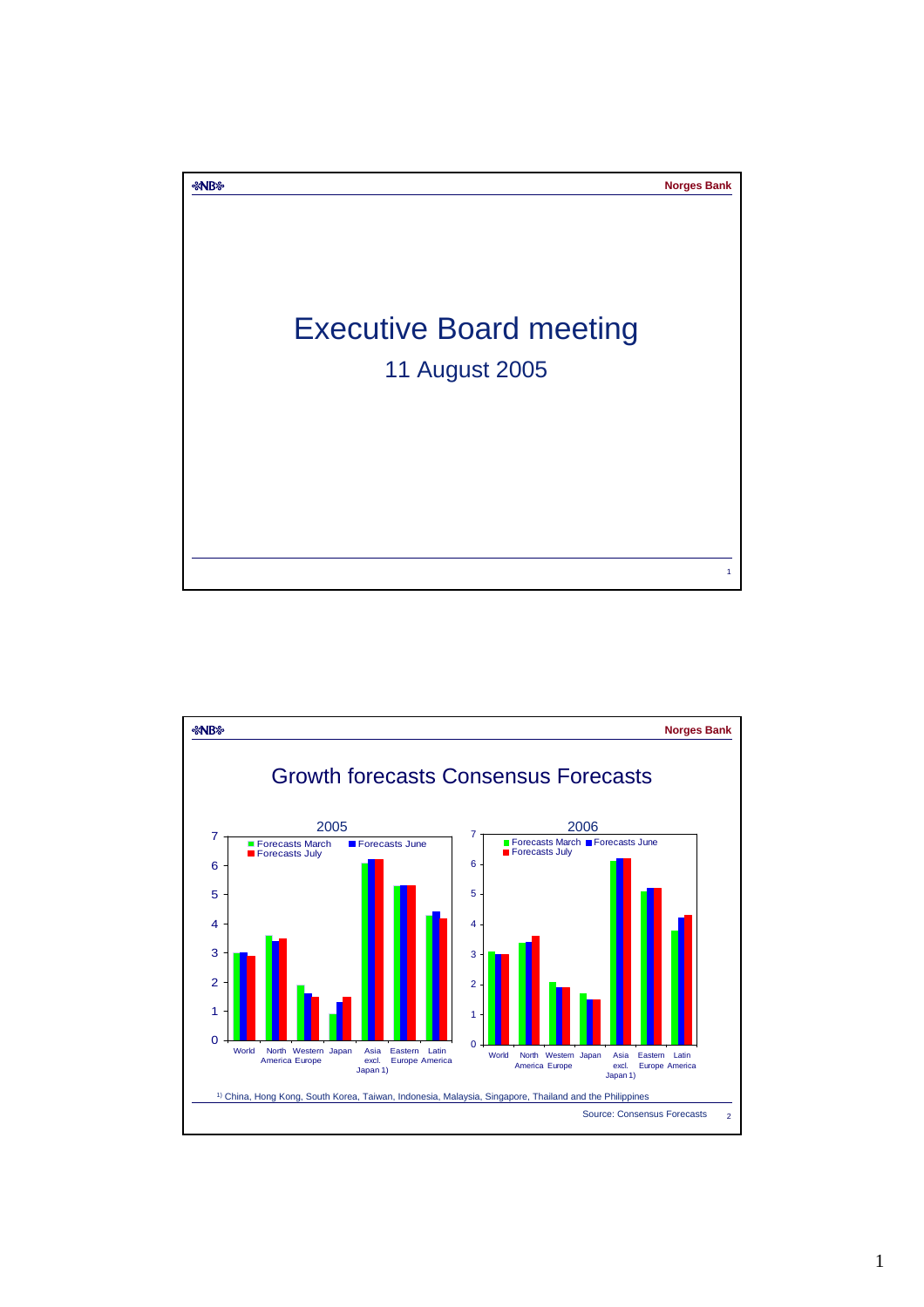

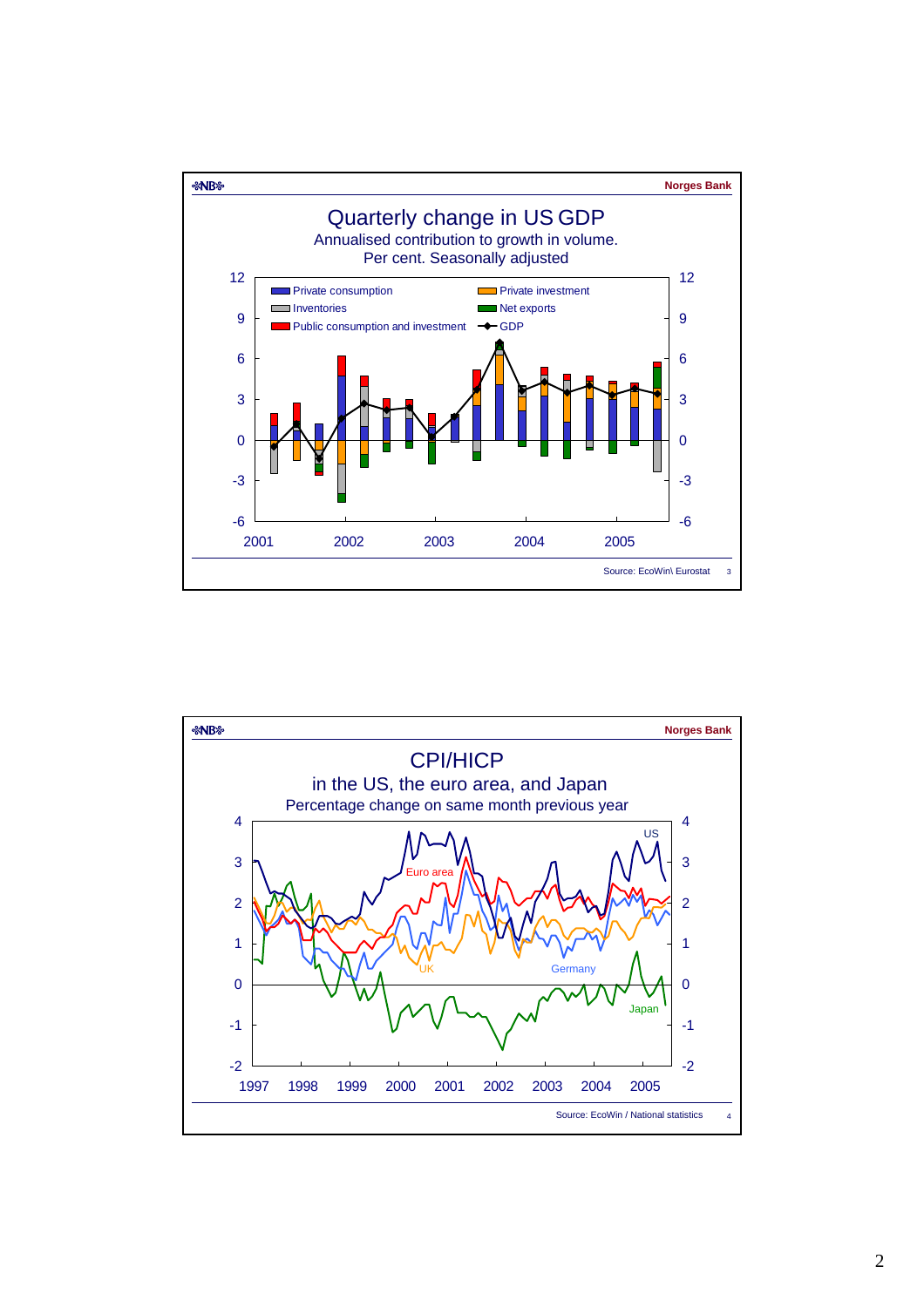

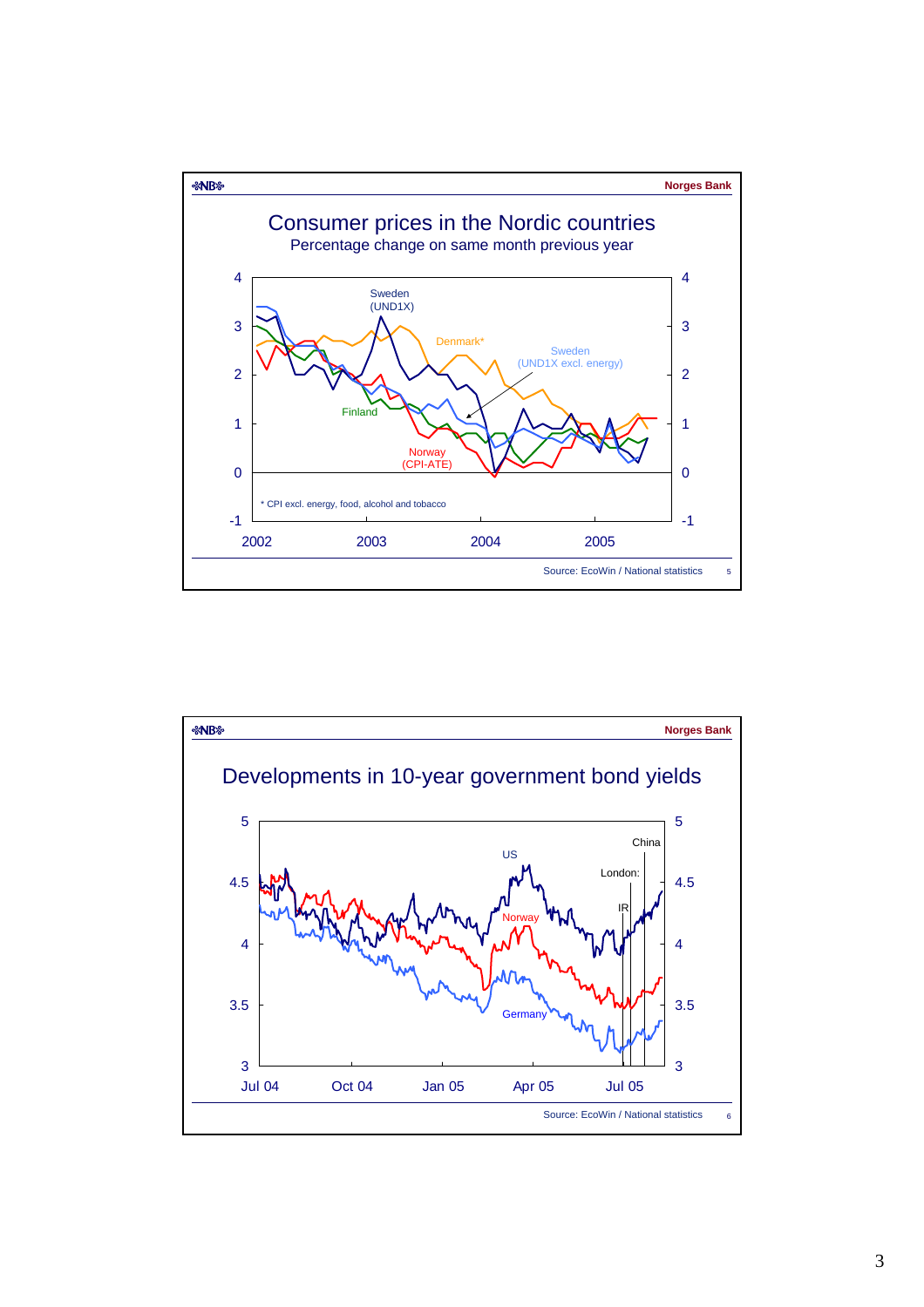

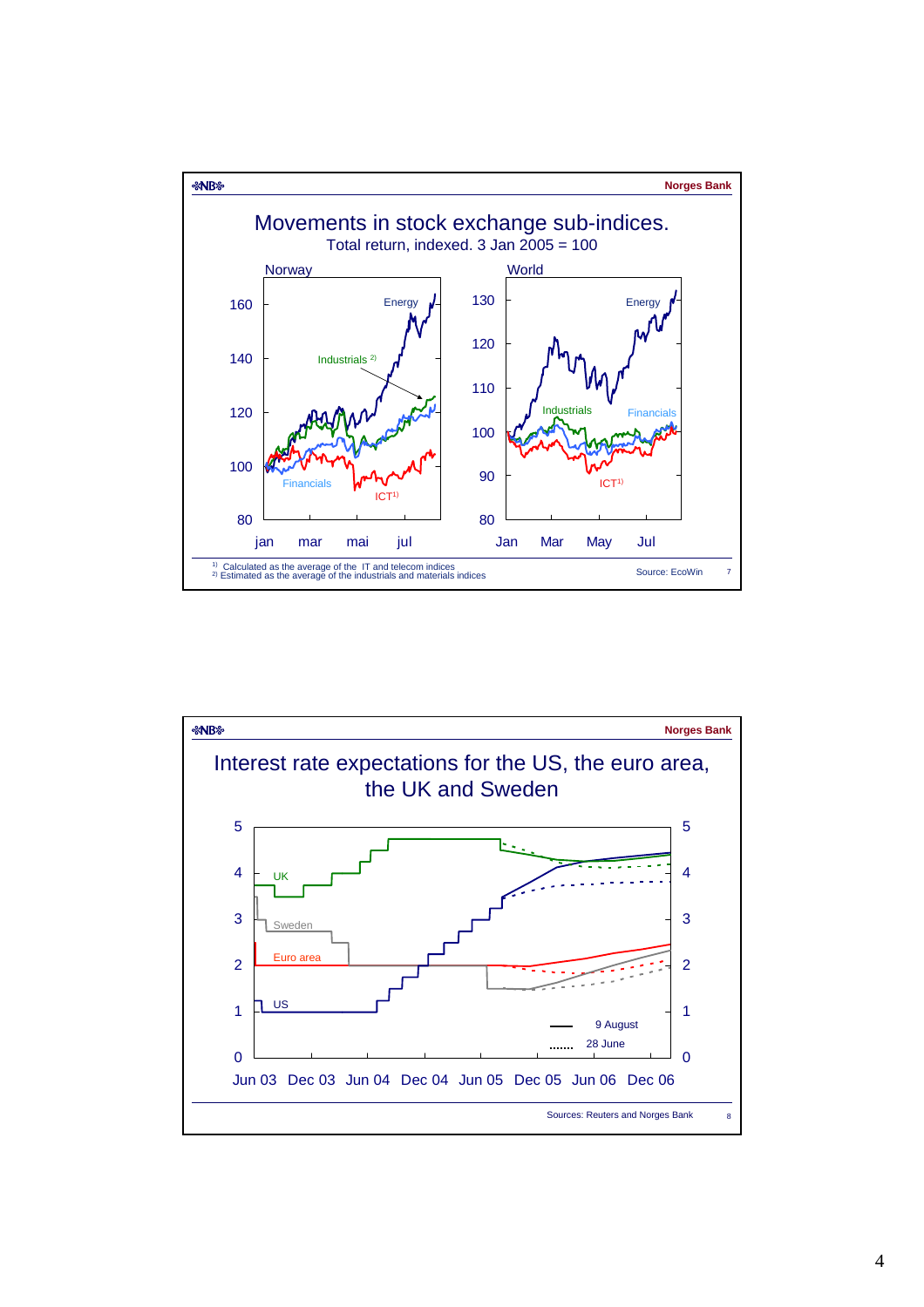

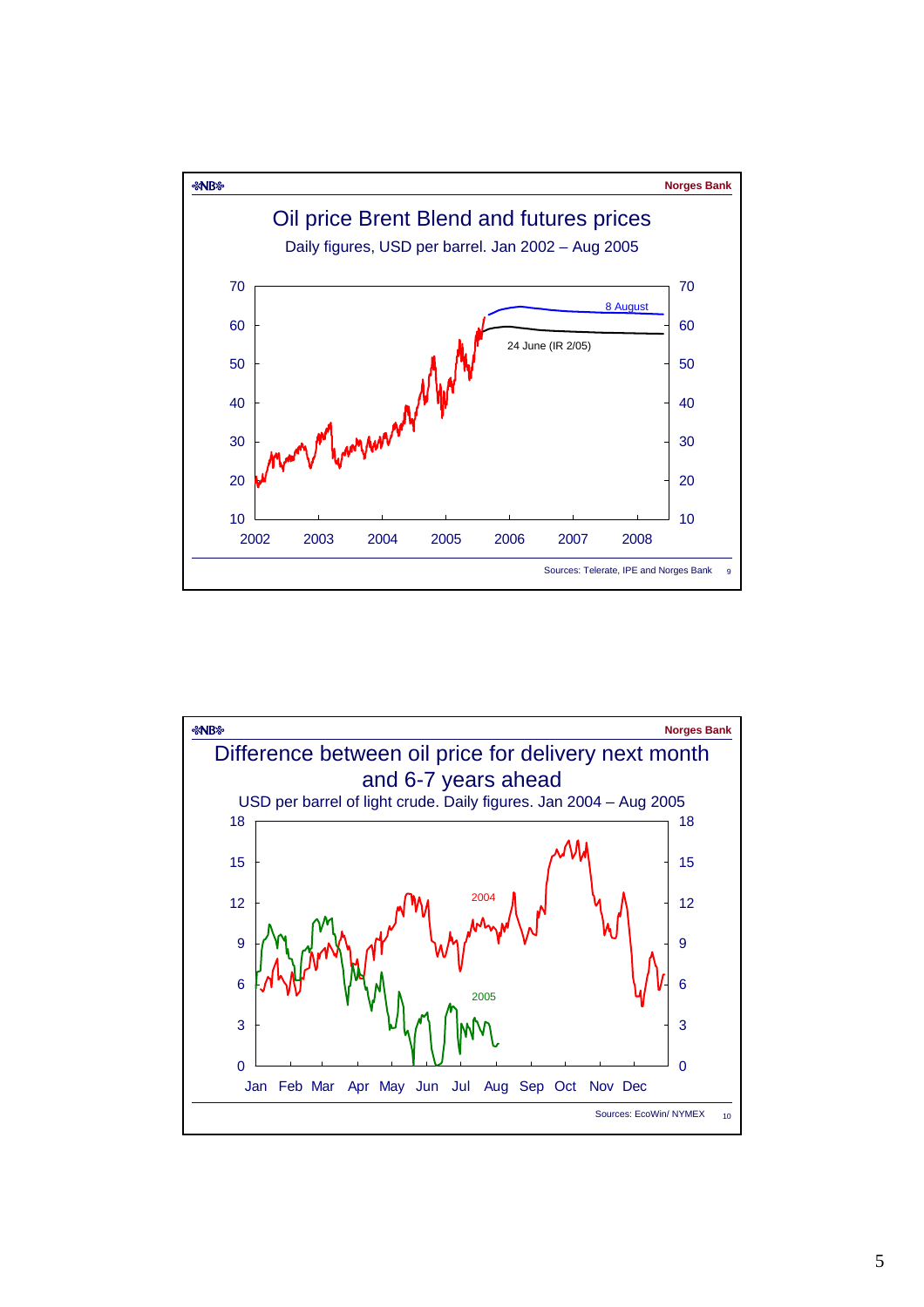

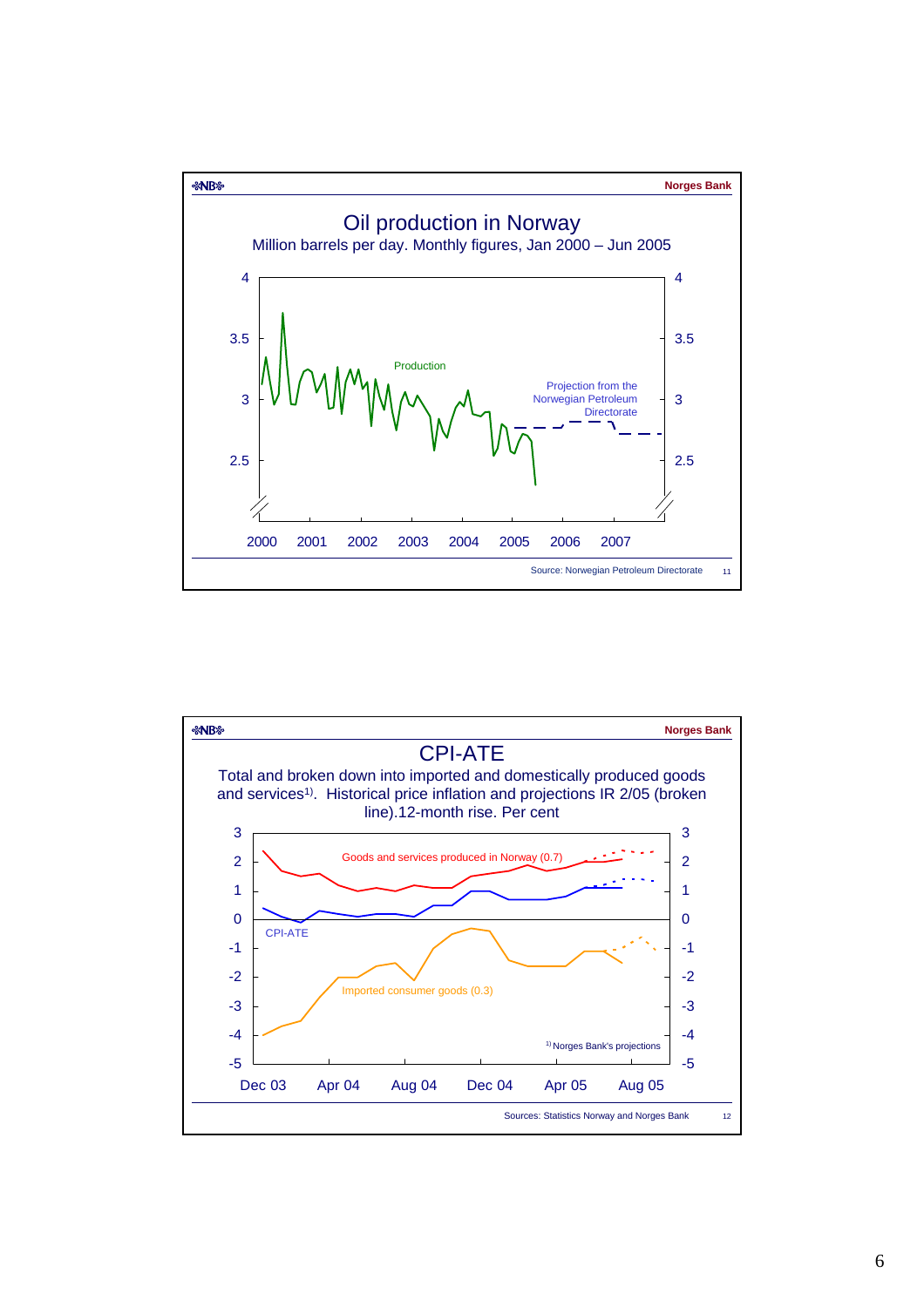

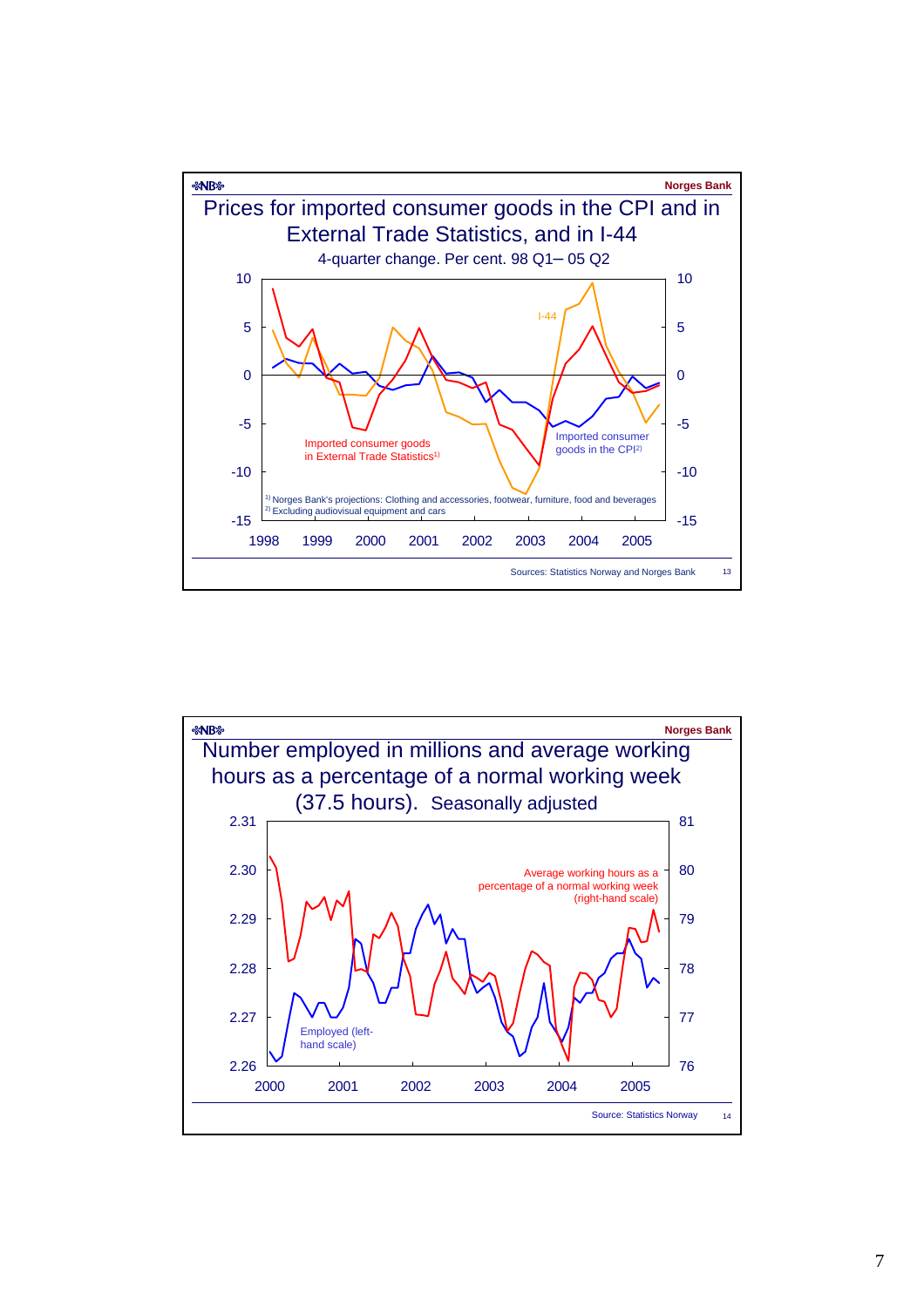

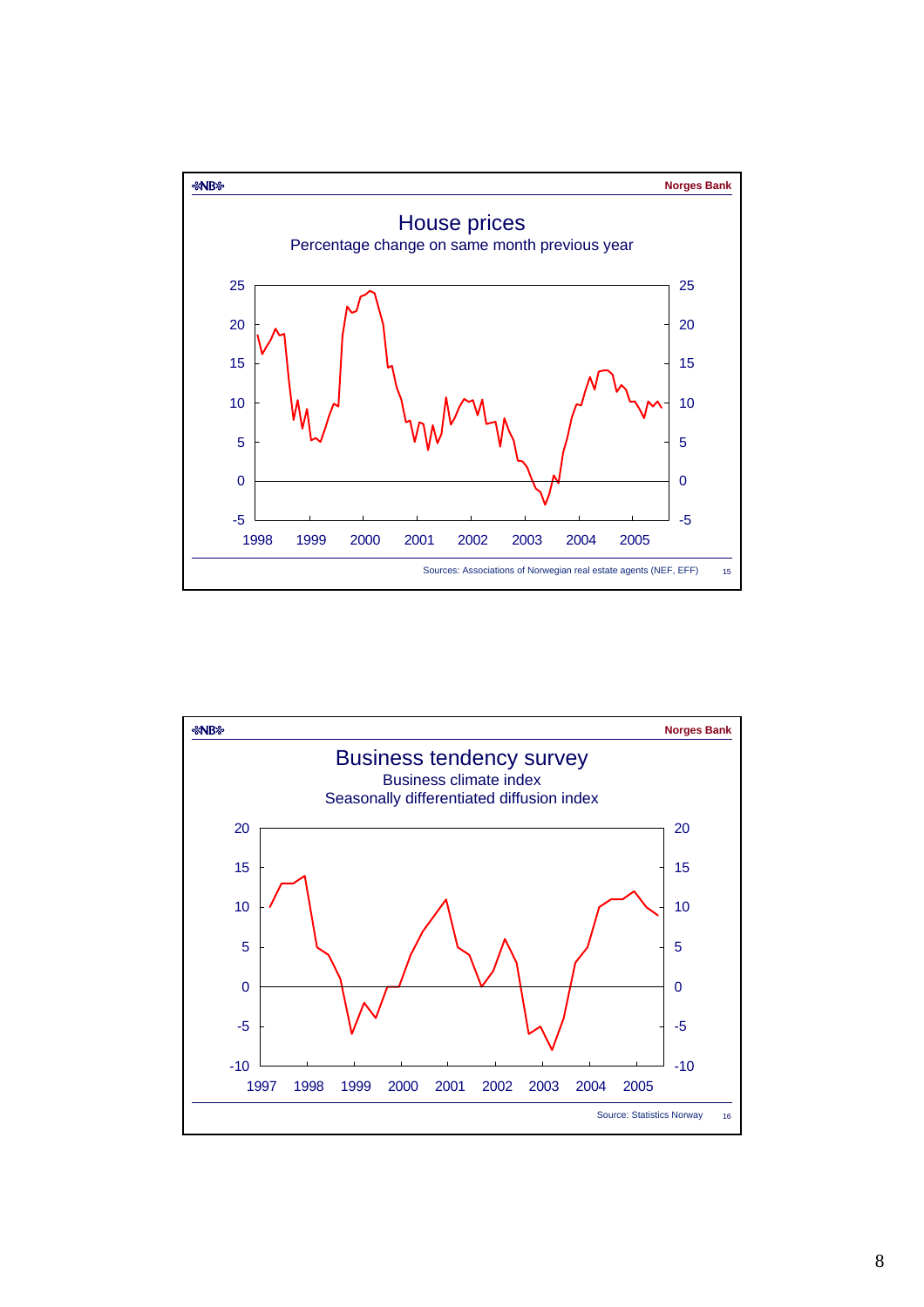

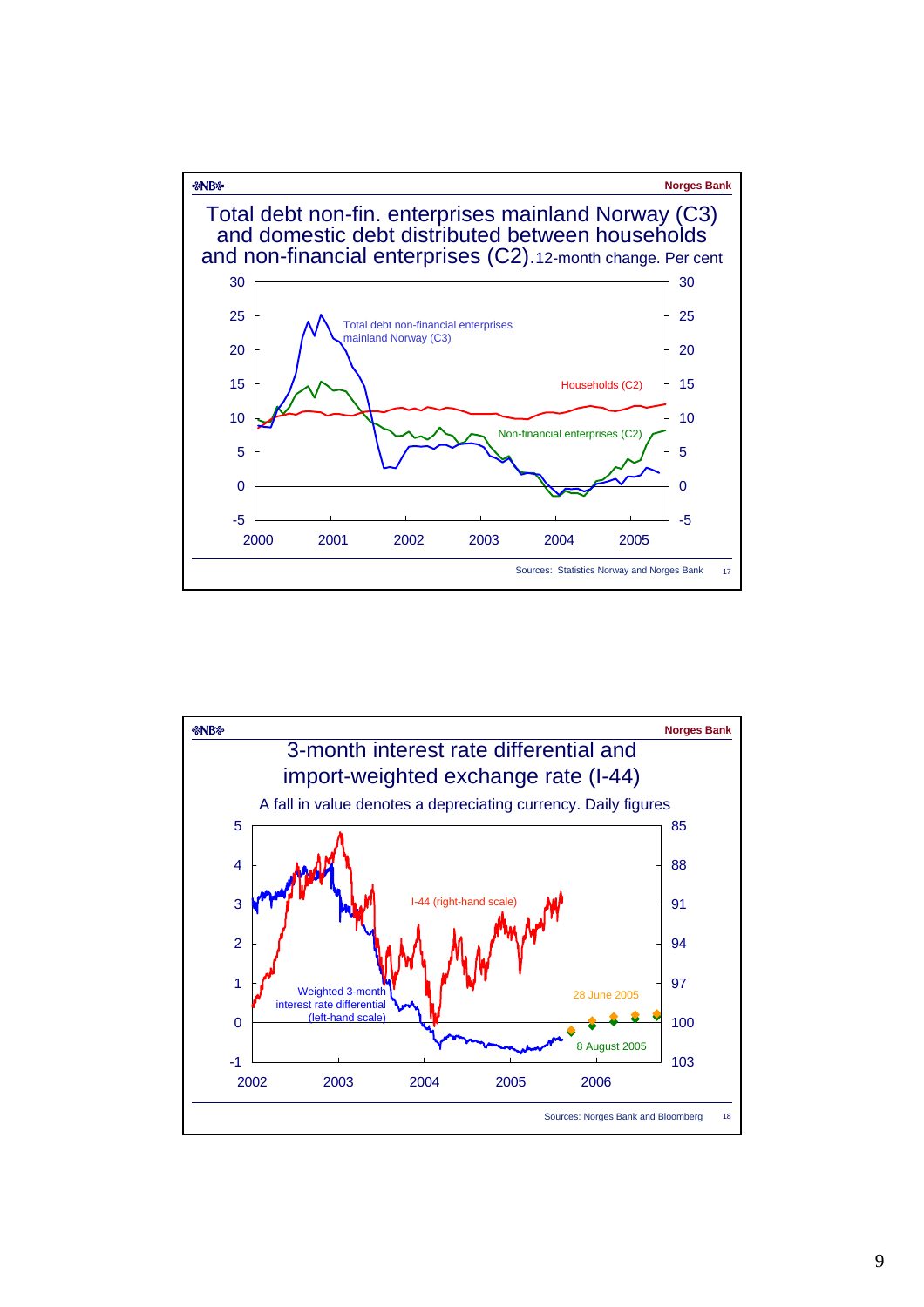